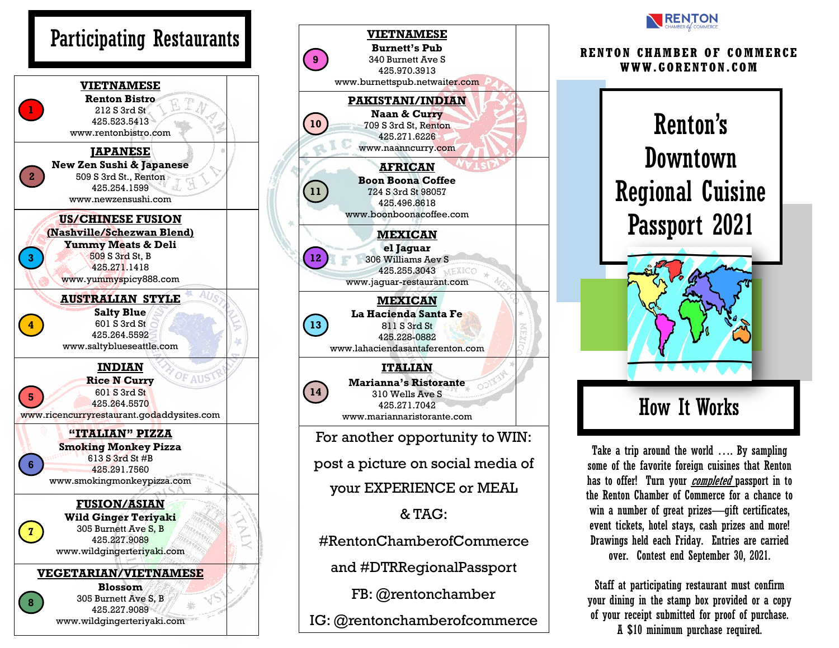





Take a trip around the world …. By sampling some of the favorite foreign cuisines that Renton has to offer! Turn your *completed* passport in to the Renton Chamber of Commerce for a chance to win a number of great prizes—gift certificates, event tickets, hotel stays, cash prizes and more! Drawings held each Friday. Entries are carried over. Contest end September 30, 2021.

Staff at participating restaurant must confirm your dining in the stamp box provided or a copy of your receipt submitted for proof of purchase. A \$10 minimum purchase required.